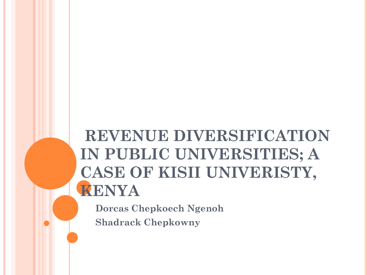# **REVENUE DIVERSIFICATION IN PUBLIC UNIVERSITIES; A CASE OF KISII UNIVERISTY, KENYA**

**Dorcas Chepkoech Ngenoh Shadrack Chepkowny**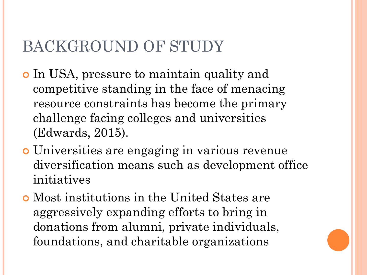## BACKGROUND OF STUDY

- In USA, pressure to maintain quality and competitive standing in the face of menacing resource constraints has become the primary challenge facing colleges and universities (Edwards, 2015).
- Universities are engaging in various revenue diversification means such as development office initiatives
- Most institutions in the United States are aggressively expanding efforts to bring in donations from alumni, private individuals, foundations, and charitable organizations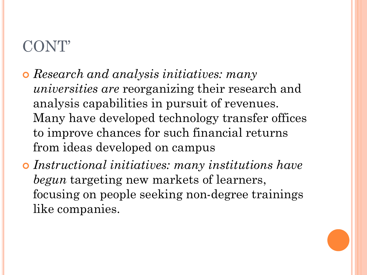- *Research and analysis initiatives: many universities are* reorganizing their research and analysis capabilities in pursuit of revenues. Many have developed technology transfer offices to improve chances for such financial returns from ideas developed on campus
- *Instructional initiatives: many institutions have begun* targeting new markets of learners, focusing on people seeking non-degree trainings like companies.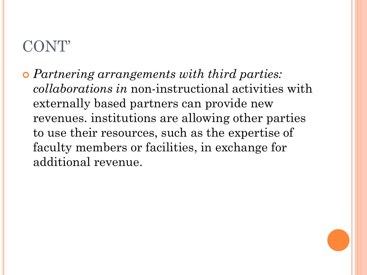*Partnering arrangements with third parties: collaborations in* non-instructional activities with externally based partners can provide new revenues. institutions are allowing other parties to use their resources, such as the expertise of faculty members or facilities, in exchange for additional revenue.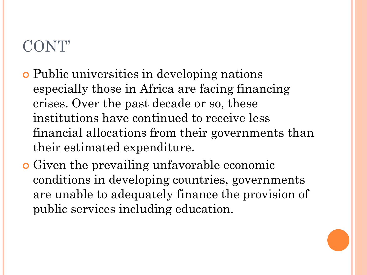- Public universities in developing nations especially those in Africa are facing financing crises. Over the past decade or so, these institutions have continued to receive less financial allocations from their governments than their estimated expenditure.
- Given the prevailing unfavorable economic conditions in developing countries, governments are unable to adequately finance the provision of public services including education.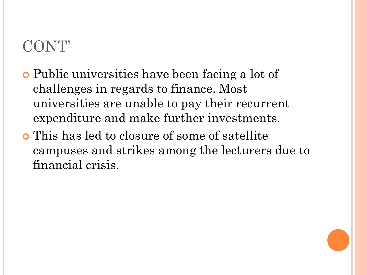- Public universities have been facing a lot of challenges in regards to finance. Most universities are unable to pay their recurrent expenditure and make further investments.
- This has led to closure of some of satellite campuses and strikes among the lecturers due to financial crisis.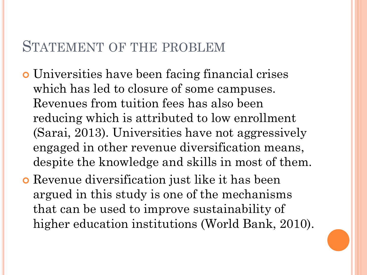#### STATEMENT OF THE PROBLEM

- Universities have been facing financial crises which has led to closure of some campuses. Revenues from tuition fees has also been reducing which is attributed to low enrollment (Sarai, 2013). Universities have not aggressively engaged in other revenue diversification means, despite the knowledge and skills in most of them.
- Revenue diversification just like it has been argued in this study is one of the mechanisms that can be used to improve sustainability of higher education institutions (World Bank, 2010).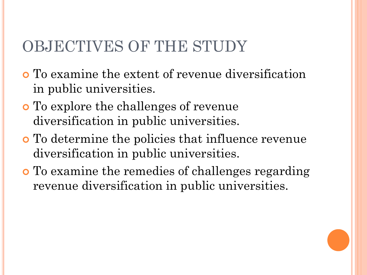#### OBJECTIVES OF THE STUDY

- To examine the extent of revenue diversification in public universities.
- To explore the challenges of revenue diversification in public universities.
- To determine the policies that influence revenue diversification in public universities.
- To examine the remedies of challenges regarding revenue diversification in public universities.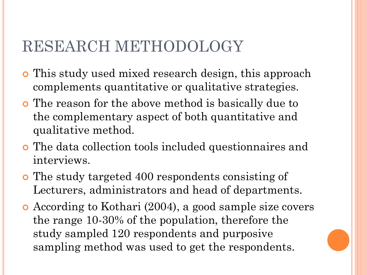#### RESEARCH METHODOLOGY

- This study used mixed research design, this approach complements quantitative or qualitative strategies.
- **•** The reason for the above method is basically due to the complementary aspect of both quantitative and qualitative method.
- The data collection tools included questionnaires and interviews.
- The study targeted 400 respondents consisting of Lecturers, administrators and head of departments.
- According to Kothari (2004), a good sample size covers the range 10-30% of the population, therefore the study sampled 120 respondents and purposive sampling method was used to get the respondents.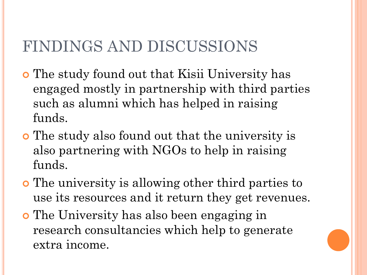## FINDINGS AND DISCUSSIONS

- The study found out that Kisii University has engaged mostly in partnership with third parties such as alumni which has helped in raising funds.
- The study also found out that the university is also partnering with NGOs to help in raising funds.
- The university is allowing other third parties to use its resources and it return they get revenues.
- The University has also been engaging in research consultancies which help to generate extra income.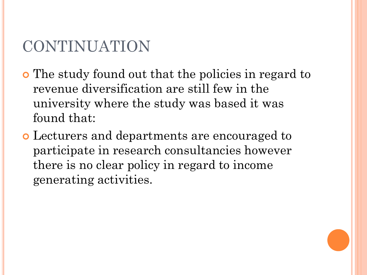## CONTINUATION

- The study found out that the policies in regard to revenue diversification are still few in the university where the study was based it was found that:
- Lecturers and departments are encouraged to participate in research consultancies however there is no clear policy in regard to income generating activities.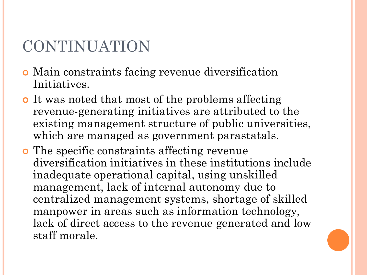## CONTINUATION

- Main constraints facing revenue diversification Initiatives.
- It was noted that most of the problems affecting revenue-generating initiatives are attributed to the existing management structure of public universities, which are managed as government parastatals.
- **o** The specific constraints affecting revenue diversification initiatives in these institutions include inadequate operational capital, using unskilled management, lack of internal autonomy due to centralized management systems, shortage of skilled manpower in areas such as information technology, lack of direct access to the revenue generated and low staff morale.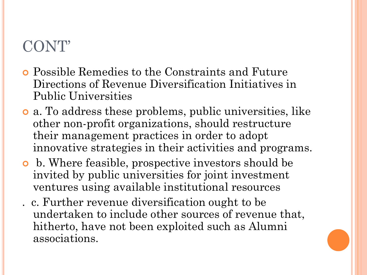- Possible Remedies to the Constraints and Future Directions of Revenue Diversification Initiatives in Public Universities
- a. To address these problems, public universities, like other non-profit organizations, should restructure their management practices in order to adopt innovative strategies in their activities and programs.
- b. Where feasible, prospective investors should be invited by public universities for joint investment ventures using available institutional resources
- . c. Further revenue diversification ought to be undertaken to include other sources of revenue that, hitherto, have not been exploited such as Alumni associations.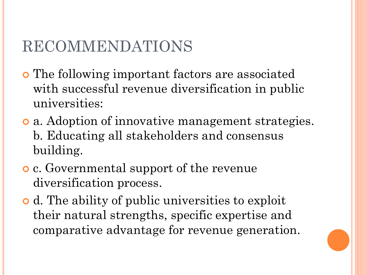## RECOMMENDATIONS

- The following important factors are associated with successful revenue diversification in public universities:
- a. Adoption of innovative management strategies. b. Educating all stakeholders and consensus building.
- c. Governmental support of the revenue diversification process.
- d. The ability of public universities to exploit their natural strengths, specific expertise and comparative advantage for revenue generation.